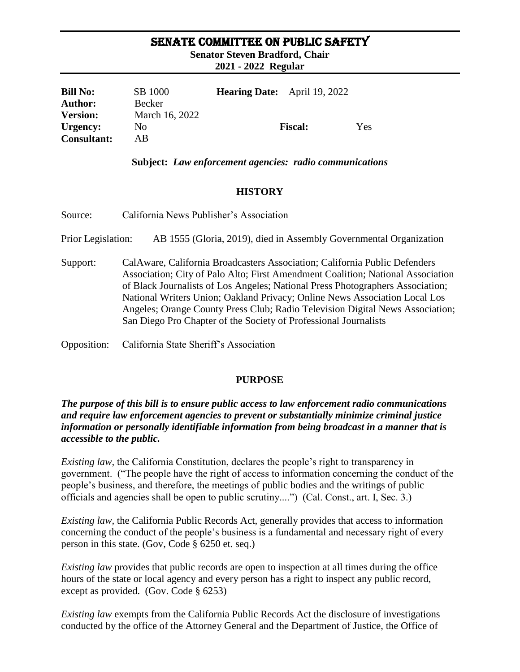### SENATE COMMITTEE ON PUBLIC SAFETY

**Senator Steven Bradford, Chair**

**2021 - 2022 Regular** 

| <b>Bill No:</b>    | SB 1000        | <b>Hearing Date:</b> April 19, 2022 |                |     |
|--------------------|----------------|-------------------------------------|----------------|-----|
| <b>Author:</b>     | Becker         |                                     |                |     |
| <b>Version:</b>    | March 16, 2022 |                                     |                |     |
| Urgency:           | N <sub>0</sub> |                                     | <b>Fiscal:</b> | Yes |
| <b>Consultant:</b> | AB             |                                     |                |     |

#### **Subject:** *Law enforcement agencies: radio communications*

### **HISTORY**

Source: California News Publisher's Association

Prior Legislation: AB 1555 (Gloria, 2019), died in Assembly Governmental Organization

Support: CalAware, California Broadcasters Association; California Public Defenders Association; City of Palo Alto; First Amendment Coalition; National Association of Black Journalists of Los Angeles; National Press Photographers Association; National Writers Union; Oakland Privacy; Online News Association Local Los Angeles; Orange County Press Club; Radio Television Digital News Association; San Diego Pro Chapter of the Society of Professional Journalists

Opposition: California State Sheriff's Association

### **PURPOSE**

*The purpose of this bill is to ensure public access to law enforcement radio communications and require law enforcement agencies to prevent or substantially minimize criminal justice information or personally identifiable information from being broadcast in a manner that is accessible to the public.* 

*Existing law,* the California Constitution, declares the people's right to transparency in government. ("The people have the right of access to information concerning the conduct of the people's business, and therefore, the meetings of public bodies and the writings of public officials and agencies shall be open to public scrutiny....") (Cal. Const., art. I, Sec. 3.)

*Existing law,* the California Public Records Act, generally provides that access to information concerning the conduct of the people's business is a fundamental and necessary right of every person in this state. (Gov, Code § 6250 et. seq.)

*Existing law* provides that public records are open to inspection at all times during the office hours of the state or local agency and every person has a right to inspect any public record, except as provided. (Gov. Code § 6253)

*Existing law* exempts from the California Public Records Act the disclosure of investigations conducted by the office of the Attorney General and the Department of Justice, the Office of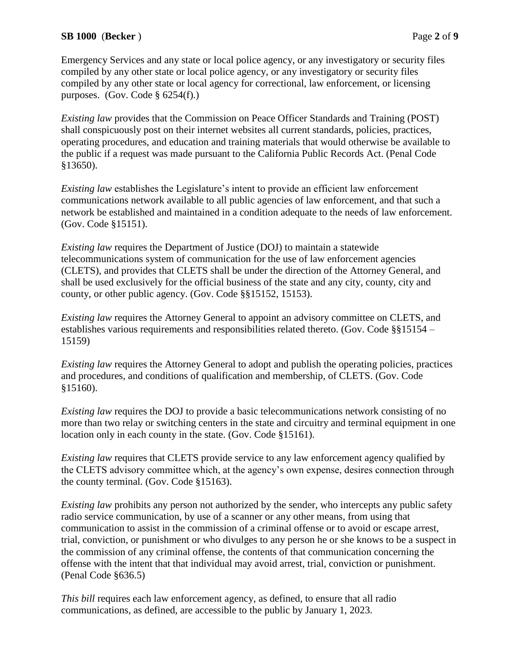### **SB 1000** (**Becker** ) Page **2** of **9**

Emergency Services and any state or local police agency, or any investigatory or security files compiled by any other state or local police agency, or any investigatory or security files compiled by any other state or local agency for correctional, law enforcement, or licensing purposes. (Gov. Code § 6254(f).)

*Existing law* provides that the Commission on Peace Officer Standards and Training (POST) shall conspicuously post on their internet websites all current standards, policies, practices, operating procedures, and education and training materials that would otherwise be available to the public if a request was made pursuant to the California Public Records Act. (Penal Code §13650).

*Existing law* establishes the Legislature's intent to provide an efficient law enforcement communications network available to all public agencies of law enforcement, and that such a network be established and maintained in a condition adequate to the needs of law enforcement. (Gov. Code §15151).

*Existing law* requires the Department of Justice (DOJ) to maintain a statewide telecommunications system of communication for the use of law enforcement agencies (CLETS), and provides that CLETS shall be under the direction of the Attorney General, and shall be used exclusively for the official business of the state and any city, county, city and county, or other public agency. (Gov. Code §§15152, 15153).

*Existing law* requires the Attorney General to appoint an advisory committee on CLETS, and establishes various requirements and responsibilities related thereto. (Gov. Code §§15154 – 15159)

*Existing law* requires the Attorney General to adopt and publish the operating policies, practices and procedures, and conditions of qualification and membership, of CLETS. (Gov. Code §15160).

*Existing law requires the DOJ to provide a basic telecommunications network consisting of no* more than two relay or switching centers in the state and circuitry and terminal equipment in one location only in each county in the state. (Gov. Code §15161).

*Existing law* requires that CLETS provide service to any law enforcement agency qualified by the CLETS advisory committee which, at the agency's own expense, desires connection through the county terminal. (Gov. Code §15163).

*Existing law* prohibits any person not authorized by the sender, who intercepts any public safety radio service communication, by use of a scanner or any other means, from using that communication to assist in the commission of a criminal offense or to avoid or escape arrest, trial, conviction, or punishment or who divulges to any person he or she knows to be a suspect in the commission of any criminal offense, the contents of that communication concerning the offense with the intent that that individual may avoid arrest, trial, conviction or punishment. (Penal Code §636.5)

*This bill* requires each law enforcement agency, as defined, to ensure that all radio communications, as defined, are accessible to the public by January 1, 2023.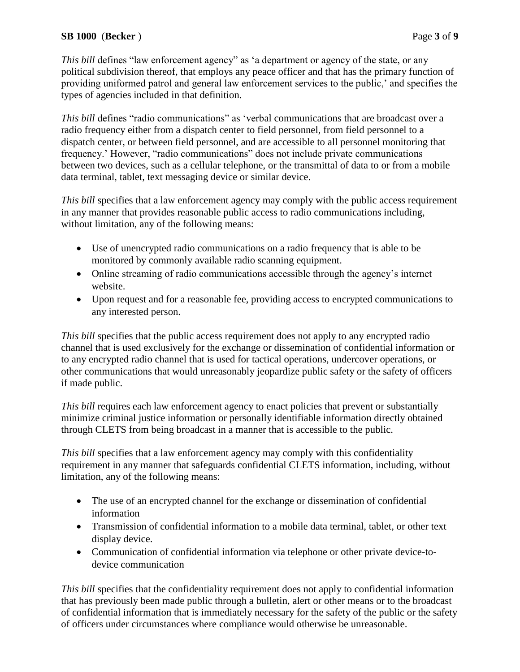### **SB 1000** (**Becker** ) Page **3** of **9**

*This bill* defines "law enforcement agency" as 'a department or agency of the state, or any political subdivision thereof, that employs any peace officer and that has the primary function of providing uniformed patrol and general law enforcement services to the public,' and specifies the types of agencies included in that definition.

*This bill* defines "radio communications" as 'verbal communications that are broadcast over a radio frequency either from a dispatch center to field personnel, from field personnel to a dispatch center, or between field personnel, and are accessible to all personnel monitoring that frequency.' However, "radio communications" does not include private communications between two devices, such as a cellular telephone, or the transmittal of data to or from a mobile data terminal, tablet, text messaging device or similar device.

*This bill* specifies that a law enforcement agency may comply with the public access requirement in any manner that provides reasonable public access to radio communications including, without limitation, any of the following means:

- Use of unencrypted radio communications on a radio frequency that is able to be monitored by commonly available radio scanning equipment.
- Online streaming of radio communications accessible through the agency's internet website.
- Upon request and for a reasonable fee, providing access to encrypted communications to any interested person.

*This bill* specifies that the public access requirement does not apply to any encrypted radio channel that is used exclusively for the exchange or dissemination of confidential information or to any encrypted radio channel that is used for tactical operations, undercover operations, or other communications that would unreasonably jeopardize public safety or the safety of officers if made public.

*This bill* requires each law enforcement agency to enact policies that prevent or substantially minimize criminal justice information or personally identifiable information directly obtained through CLETS from being broadcast in a manner that is accessible to the public.

*This bill* specifies that a law enforcement agency may comply with this confidentiality requirement in any manner that safeguards confidential CLETS information, including, without limitation, any of the following means:

- The use of an encrypted channel for the exchange or dissemination of confidential information
- Transmission of confidential information to a mobile data terminal, tablet, or other text display device.
- Communication of confidential information via telephone or other private device-todevice communication

*This bill* specifies that the confidentiality requirement does not apply to confidential information that has previously been made public through a bulletin, alert or other means or to the broadcast of confidential information that is immediately necessary for the safety of the public or the safety of officers under circumstances where compliance would otherwise be unreasonable.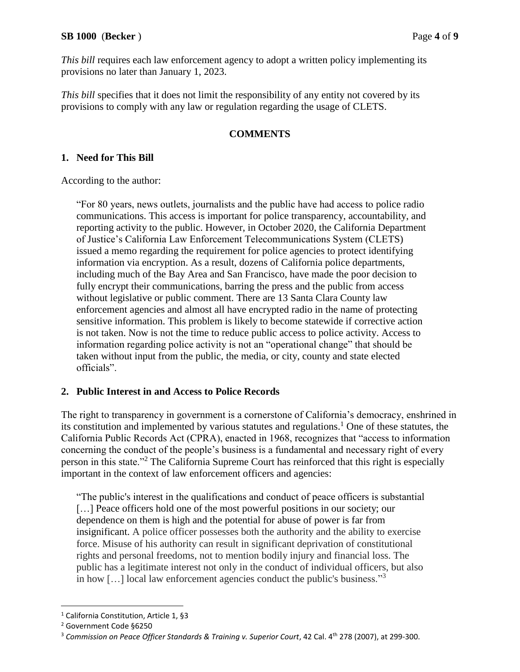#### **SB 1000** (**Becker** ) Page **4** of **9**

*This bill* requires each law enforcement agency to adopt a written policy implementing its provisions no later than January 1, 2023.

*This bill* specifies that it does not limit the responsibility of any entity not covered by its provisions to comply with any law or regulation regarding the usage of CLETS.

### **COMMENTS**

### **1. Need for This Bill**

According to the author:

"For 80 years, news outlets, journalists and the public have had access to police radio communications. This access is important for police transparency, accountability, and reporting activity to the public. However, in October 2020, the California Department of Justice's California Law Enforcement Telecommunications System (CLETS) issued a memo regarding the requirement for police agencies to protect identifying information via encryption. As a result, dozens of California police departments, including much of the Bay Area and San Francisco, have made the poor decision to fully encrypt their communications, barring the press and the public from access without legislative or public comment. There are 13 Santa Clara County law enforcement agencies and almost all have encrypted radio in the name of protecting sensitive information. This problem is likely to become statewide if corrective action is not taken. Now is not the time to reduce public access to police activity. Access to information regarding police activity is not an "operational change" that should be taken without input from the public, the media, or city, county and state elected officials".

### **2. Public Interest in and Access to Police Records**

The right to transparency in government is a cornerstone of California's democracy, enshrined in its constitution and implemented by various statutes and regulations.<sup>1</sup> One of these statutes, the California Public Records Act (CPRA), enacted in 1968, recognizes that "access to information concerning the conduct of the people's business is a fundamental and necessary right of every person in this state."<sup>2</sup> The California Supreme Court has reinforced that this right is especially important in the context of law enforcement officers and agencies:

"The public's interest in the qualifications and conduct of peace officers is substantial [...] Peace officers hold one of the most powerful positions in our society; our dependence on them is high and the potential for abuse of power is far from insignificant. A police officer possesses both the authority and the ability to exercise force. Misuse of his authority can result in significant deprivation of constitutional rights and personal freedoms, not to mention bodily injury and financial loss. The public has a legitimate interest not only in the conduct of individual officers, but also in how […] local law enforcement agencies conduct the public's business."<sup>3</sup>

 $\overline{a}$ 

<sup>1</sup> California Constitution, Article 1, §3

<sup>2</sup> Government Code §6250

<sup>&</sup>lt;sup>3</sup> Commission on Peace Officer Standards & Training v. Superior Court, 42 Cal. 4<sup>th</sup> 278 (2007), at 299-300.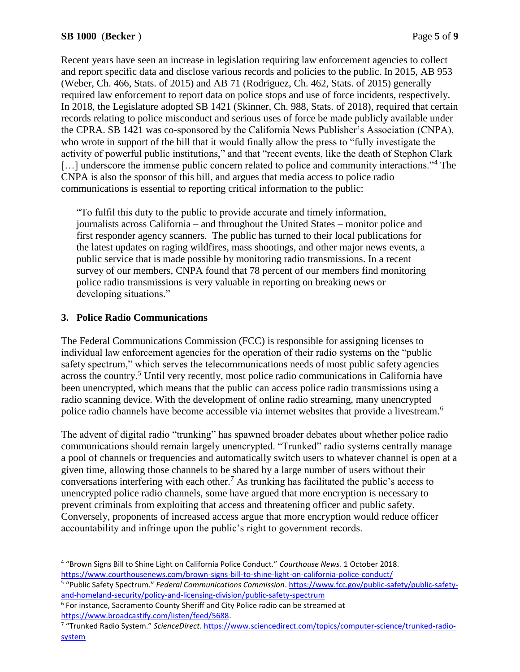Recent years have seen an increase in legislation requiring law enforcement agencies to collect and report specific data and disclose various records and policies to the public. In 2015, AB 953 (Weber, Ch. 466, Stats. of 2015) and AB 71 (Rodriguez, Ch. 462, Stats. of 2015) generally required law enforcement to report data on police stops and use of force incidents, respectively. In 2018, the Legislature adopted SB 1421 (Skinner, Ch. 988, Stats. of 2018), required that certain records relating to police misconduct and serious uses of force be made publicly available under the CPRA. SB 1421 was co-sponsored by the California News Publisher's Association (CNPA), who wrote in support of the bill that it would finally allow the press to "fully investigate the activity of powerful public institutions," and that "recent events, like the death of Stephon Clark [...] underscore the immense public concern related to police and community interactions."<sup>4</sup> The CNPA is also the sponsor of this bill, and argues that media access to police radio communications is essential to reporting critical information to the public:

"To fulfil this duty to the public to provide accurate and timely information, journalists across California – and throughout the United States – monitor police and first responder agency scanners. The public has turned to their local publications for the latest updates on raging wildfires, mass shootings, and other major news events, a public service that is made possible by monitoring radio transmissions. In a recent survey of our members, CNPA found that 78 percent of our members find monitoring police radio transmissions is very valuable in reporting on breaking news or developing situations."

# **3. Police Radio Communications**

The Federal Communications Commission (FCC) is responsible for assigning licenses to individual law enforcement agencies for the operation of their radio systems on the "public safety spectrum," which serves the telecommunications needs of most public safety agencies across the country.<sup>5</sup> Until very recently, most police radio communications in California have been unencrypted, which means that the public can access police radio transmissions using a radio scanning device. With the development of online radio streaming, many unencrypted police radio channels have become accessible via internet websites that provide a livestream.<sup>6</sup>

The advent of digital radio "trunking" has spawned broader debates about whether police radio communications should remain largely unencrypted. "Trunked" radio systems centrally manage a pool of channels or frequencies and automatically switch users to whatever channel is open at a given time, allowing those channels to be shared by a large number of users without their conversations interfering with each other.<sup>7</sup> As trunking has facilitated the public's access to unencrypted police radio channels, some have argued that more encryption is necessary to prevent criminals from exploiting that access and threatening officer and public safety. Conversely, proponents of increased access argue that more encryption would reduce officer accountability and infringe upon the public's right to government records.

 $\overline{a}$ 4 "Brown Signs Bill to Shine Light on California Police Conduct." *Courthouse News.* 1 October 2018. <https://www.courthousenews.com/brown-signs-bill-to-shine-light-on-california-police-conduct/>

<sup>5</sup> "Public Safety Spectrum." *Federal Communications Commission*. [https://www.fcc.gov/public-safety/public-safety](https://www.fcc.gov/public-safety/public-safety-and-homeland-security/policy-and-licensing-division/public-safety-spectrum)[and-homeland-security/policy-and-licensing-division/public-safety-spectrum](https://www.fcc.gov/public-safety/public-safety-and-homeland-security/policy-and-licensing-division/public-safety-spectrum)

<sup>&</sup>lt;sup>6</sup> For instance, Sacramento County Sheriff and City Police radio can be streamed at [https://www.broadcastify.com/listen/feed/5688.](https://www.broadcastify.com/listen/feed/5688)

<sup>&</sup>lt;sup>7</sup> "Trunked Radio System." ScienceDirect. [https://www.sciencedirect.com/topics/computer-science/trunked-radio](https://www.sciencedirect.com/topics/computer-science/trunked-radio-system)[system](https://www.sciencedirect.com/topics/computer-science/trunked-radio-system)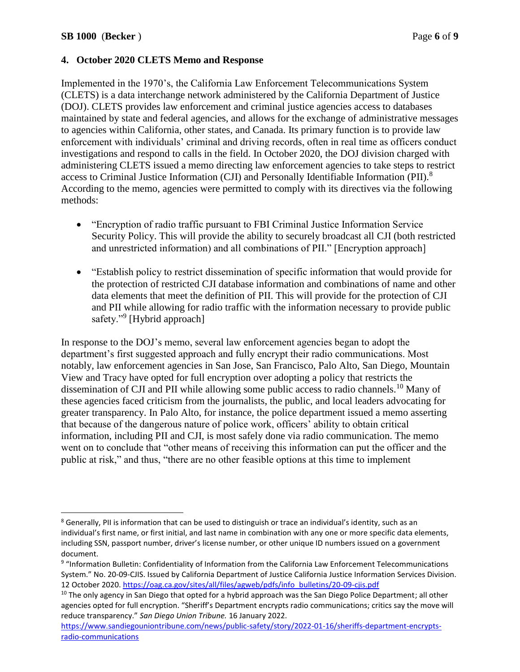$\overline{a}$ 

### **4. October 2020 CLETS Memo and Response**

Implemented in the 1970's, the California Law Enforcement Telecommunications System (CLETS) is a data interchange network administered by the California Department of Justice (DOJ). CLETS provides law enforcement and criminal justice agencies access to databases maintained by state and federal agencies, and allows for the exchange of administrative messages to agencies within California, other states, and Canada. Its primary function is to provide law enforcement with individuals' criminal and driving records, often in real time as officers conduct investigations and respond to calls in the field. In October 2020, the DOJ division charged with administering CLETS issued a memo directing law enforcement agencies to take steps to restrict access to Criminal Justice Information (CJI) and Personally Identifiable Information (PII).<sup>8</sup> According to the memo, agencies were permitted to comply with its directives via the following methods:

- "Encryption of radio traffic pursuant to FBI Criminal Justice Information Service Security Policy. This will provide the ability to securely broadcast all CJI (both restricted and unrestricted information) and all combinations of PII." [Encryption approach]
- "Establish policy to restrict dissemination of specific information that would provide for the protection of restricted CJI database information and combinations of name and other data elements that meet the definition of PII. This will provide for the protection of CJI and PII while allowing for radio traffic with the information necessary to provide public safety."<sup>9</sup> [Hybrid approach]

In response to the DOJ's memo, several law enforcement agencies began to adopt the department's first suggested approach and fully encrypt their radio communications. Most notably, law enforcement agencies in San Jose, San Francisco, Palo Alto, San Diego, Mountain View and Tracy have opted for full encryption over adopting a policy that restricts the dissemination of CJI and PII while allowing some public access to radio channels.<sup>10</sup> Many of these agencies faced criticism from the journalists, the public, and local leaders advocating for greater transparency. In Palo Alto, for instance, the police department issued a memo asserting that because of the dangerous nature of police work, officers' ability to obtain critical information, including PII and CJI, is most safely done via radio communication. The memo went on to conclude that "other means of receiving this information can put the officer and the public at risk," and thus, "there are no other feasible options at this time to implement

<sup>8</sup> Generally, PII is information that can be used to distinguish or trace an individual's identity, such as an individual's first name, or first initial, and last name in combination with any one or more specific data elements, including SSN, passport number, driver's license number, or other unique ID numbers issued on a government document.

<sup>9</sup> "Information Bulletin: Confidentiality of Information from the California Law Enforcement Telecommunications System." No. 20-09-CJIS. Issued by California Department of Justice California Justice Information Services Division. 12 October 2020. [https://oag.ca.gov/sites/all/files/agweb/pdfs/info\\_bulletins/20-09-cjis.pdf](https://oag.ca.gov/sites/all/files/agweb/pdfs/info_bulletins/20-09-cjis.pdf)

<sup>&</sup>lt;sup>10</sup> The only agency in San Diego that opted for a hybrid approach was the San Diego Police Department; all other agencies opted for full encryption. "Sheriff's Department encrypts radio communications; critics say the move will reduce transparency." *San Diego Union Tribune.* 16 January 2022.

[https://www.sandiegouniontribune.com/news/public-safety/story/2022-01-16/sheriffs-department-encrypts](https://www.sandiegouniontribune.com/news/public-safety/story/2022-01-16/sheriffs-department-encrypts-radio-communications)[radio-communications](https://www.sandiegouniontribune.com/news/public-safety/story/2022-01-16/sheriffs-department-encrypts-radio-communications)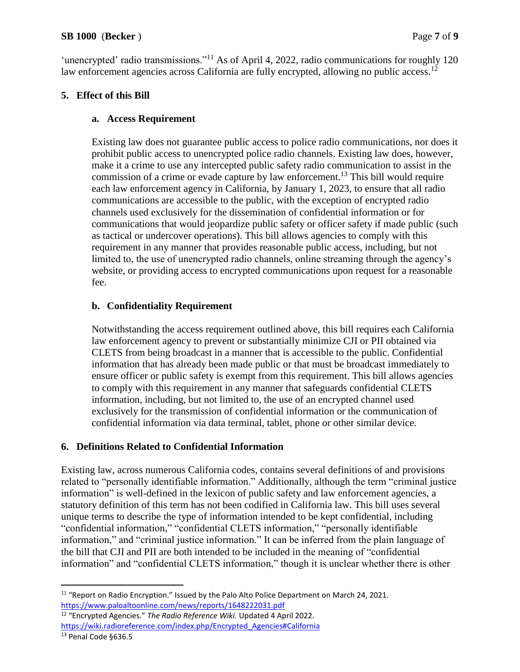'unencrypted' radio transmissions."<sup>11</sup> As of April 4, 2022, radio communications for roughly 120 law enforcement agencies across California are fully encrypted, allowing no public access.<sup>12</sup>

# **5. Effect of this Bill**

# **a. Access Requirement**

Existing law does not guarantee public access to police radio communications, nor does it prohibit public access to unencrypted police radio channels. Existing law does, however, make it a crime to use any intercepted public safety radio communication to assist in the commission of a crime or evade capture by law enforcement.<sup>13</sup> This bill would require each law enforcement agency in California, by January 1, 2023, to ensure that all radio communications are accessible to the public, with the exception of encrypted radio channels used exclusively for the dissemination of confidential information or for communications that would jeopardize public safety or officer safety if made public (such as tactical or undercover operations). This bill allows agencies to comply with this requirement in any manner that provides reasonable public access, including, but not limited to, the use of unencrypted radio channels, online streaming through the agency's website, or providing access to encrypted communications upon request for a reasonable fee.

# **b. Confidentiality Requirement**

Notwithstanding the access requirement outlined above, this bill requires each California law enforcement agency to prevent or substantially minimize CJI or PII obtained via CLETS from being broadcast in a manner that is accessible to the public. Confidential information that has already been made public or that must be broadcast immediately to ensure officer or public safety is exempt from this requirement. This bill allows agencies to comply with this requirement in any manner that safeguards confidential CLETS information, including, but not limited to, the use of an encrypted channel used exclusively for the transmission of confidential information or the communication of confidential information via data terminal, tablet, phone or other similar device.

# **6. Definitions Related to Confidential Information**

Existing law, across numerous California codes, contains several definitions of and provisions related to "personally identifiable information." Additionally, although the term "criminal justice information" is well-defined in the lexicon of public safety and law enforcement agencies, a statutory definition of this term has not been codified in California law. This bill uses several unique terms to describe the type of information intended to be kept confidential, including "confidential information," "confidential CLETS information," "personally identifiable information," and "criminal justice information." It can be inferred from the plain language of the bill that CJI and PII are both intended to be included in the meaning of "confidential information" and "confidential CLETS information," though it is unclear whether there is other

<sup>12</sup> "Encrypted Agencies." *The Radio Reference Wiki.* Updated 4 April 2022. [https://wiki.radioreference.com/index.php/Encrypted\\_Agencies#California](https://wiki.radioreference.com/index.php/Encrypted_Agencies#California)

 $\overline{a}$  $11$  "Report on Radio Encryption." Issued by the Palo Alto Police Department on March 24, 2021. <https://www.paloaltoonline.com/news/reports/1648222031.pdf>

<sup>13</sup> Penal Code §636.5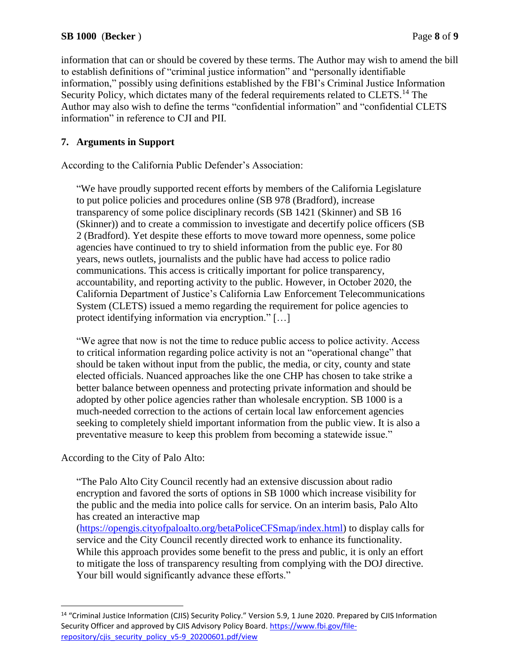information that can or should be covered by these terms. The Author may wish to amend the bill to establish definitions of "criminal justice information" and "personally identifiable information," possibly using definitions established by the FBI's Criminal Justice Information Security Policy, which dictates many of the federal requirements related to CLETS.<sup>14</sup> The Author may also wish to define the terms "confidential information" and "confidential CLETS information" in reference to CJI and PII.

# **7. Arguments in Support**

According to the California Public Defender's Association:

"We have proudly supported recent efforts by members of the California Legislature to put police policies and procedures online (SB 978 (Bradford), increase transparency of some police disciplinary records (SB 1421 (Skinner) and SB 16 (Skinner)) and to create a commission to investigate and decertify police officers (SB 2 (Bradford). Yet despite these efforts to move toward more openness, some police agencies have continued to try to shield information from the public eye. For 80 years, news outlets, journalists and the public have had access to police radio communications. This access is critically important for police transparency, accountability, and reporting activity to the public. However, in October 2020, the California Department of Justice's California Law Enforcement Telecommunications System (CLETS) issued a memo regarding the requirement for police agencies to protect identifying information via encryption." […]

"We agree that now is not the time to reduce public access to police activity. Access to critical information regarding police activity is not an "operational change" that should be taken without input from the public, the media, or city, county and state elected officials. Nuanced approaches like the one CHP has chosen to take strike a better balance between openness and protecting private information and should be adopted by other police agencies rather than wholesale encryption. SB 1000 is a much-needed correction to the actions of certain local law enforcement agencies seeking to completely shield important information from the public view. It is also a preventative measure to keep this problem from becoming a statewide issue."

According to the City of Palo Alto:

 $\overline{a}$ 

"The Palo Alto City Council recently had an extensive discussion about radio encryption and favored the sorts of options in SB 1000 which increase visibility for the public and the media into police calls for service. On an interim basis, Palo Alto has created an interactive map

[\(https://opengis.cityofpaloalto.org/betaPoliceCFSmap/index.html\)](https://opengis.cityofpaloalto.org/betaPoliceCFSmap/index.html) to display calls for service and the City Council recently directed work to enhance its functionality. While this approach provides some benefit to the press and public, it is only an effort to mitigate the loss of transparency resulting from complying with the DOJ directive. Your bill would significantly advance these efforts."

<sup>&</sup>lt;sup>14</sup> "Criminal Justice Information (CJIS) Security Policy." Version 5.9, 1 June 2020. Prepared by CJIS Information Security Officer and approved by CJIS Advisory Policy Board. [https://www.fbi.gov/file](https://www.fbi.gov/file-repository/cjis_security_policy_v5-9_20200601.pdf/view)[repository/cjis\\_security\\_policy\\_v5-9\\_20200601.pdf/view](https://www.fbi.gov/file-repository/cjis_security_policy_v5-9_20200601.pdf/view)